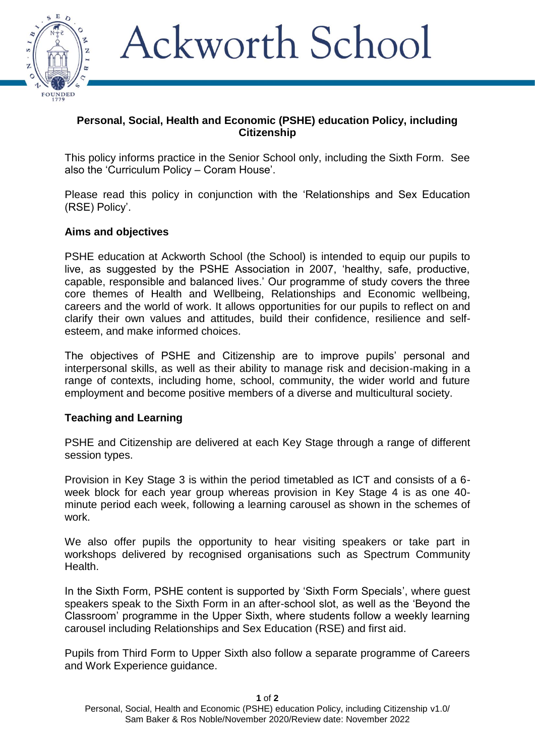

# Ackworth School

## **Personal, Social, Health and Economic (PSHE) education Policy, including Citizenship**

This policy informs practice in the Senior School only, including the Sixth Form. See also the 'Curriculum Policy – Coram House'.

Please read this policy in conjunction with the 'Relationships and Sex Education (RSE) Policy'.

#### **Aims and objectives**

PSHE education at Ackworth School (the School) is intended to equip our pupils to live, as suggested by the PSHE Association in 2007, 'healthy, safe, productive, capable, responsible and balanced lives.' Our programme of study covers the three core themes of Health and Wellbeing, Relationships and Economic wellbeing, careers and the world of work. It allows opportunities for our pupils to reflect on and clarify their own values and attitudes, build their confidence, resilience and selfesteem, and make informed choices.

The objectives of PSHE and Citizenship are to improve pupils' personal and interpersonal skills, as well as their ability to manage risk and decision-making in a range of contexts, including home, school, community, the wider world and future employment and become positive members of a diverse and multicultural society.

## **Teaching and Learning**

PSHE and Citizenship are delivered at each Key Stage through a range of different session types.

Provision in Key Stage 3 is within the period timetabled as ICT and consists of a 6 week block for each year group whereas provision in Key Stage 4 is as one 40 minute period each week, following a learning carousel as shown in the schemes of work.

We also offer pupils the opportunity to hear visiting speakers or take part in workshops delivered by recognised organisations such as Spectrum Community Health.

In the Sixth Form, PSHE content is supported by 'Sixth Form Specials', where guest speakers speak to the Sixth Form in an after-school slot, as well as the 'Beyond the Classroom' programme in the Upper Sixth, where students follow a weekly learning carousel including Relationships and Sex Education (RSE) and first aid.

Pupils from Third Form to Upper Sixth also follow a separate programme of Careers and Work Experience guidance.